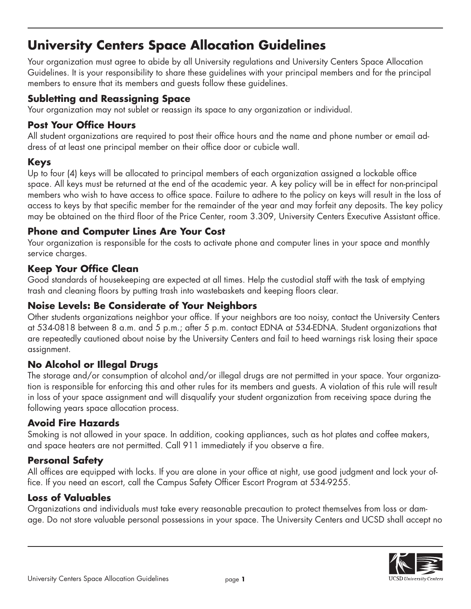# **University Centers Space Allocation Guidelines**

Your organization must agree to abide by all University regulations and University Centers Space Allocation Guidelines. It is your responsibility to share these guidelines with your principal members and for the principal members to ensure that its members and guests follow these guidelines.

#### **Subletting and Reassigning Space**

Your organization may not sublet or reassign its space to any organization or individual.

#### **Post Your Office Hours**

All student organizations are required to post their office hours and the name and phone number or email address of at least one principal member on their office door or cubicle wall.

## **Keys**

Up to four (4) keys will be allocated to principal members of each organization assigned a lockable office space. All keys must be returned at the end of the academic year. A key policy will be in effect for non-principal members who wish to have access to office space. Failure to adhere to the policy on keys will result in the loss of access to keys by that specific member for the remainder of the year and may forfeit any deposits. The key policy may be obtained on the third floor of the Price Center, room 3.309, University Centers Executive Assistant office.

## **Phone and Computer Lines Are Your Cost**

Your organization is responsible for the costs to activate phone and computer lines in your space and monthly service charges.

## **Keep Your Office Clean**

Good standards of housekeeping are expected at all times. Help the custodial staff with the task of emptying trash and cleaning floors by putting trash into wastebaskets and keeping floors clear.

#### **Noise Levels: Be Considerate of Your Neighbors**

Other students organizations neighbor your office. If your neighbors are too noisy, contact the University Centers at 534-0818 between 8 a.m. and 5 p.m.; after 5 p.m. contact EDNA at 534-EDNA. Student organizations that are repeatedly cautioned about noise by the University Centers and fail to heed warnings risk losing their space assignment.

# **No Alcohol or Illegal Drugs**

The storage and/or consumption of alcohol and/or illegal drugs are not permitted in your space. Your organization is responsible for enforcing this and other rules for its members and guests. A violation of this rule will result in loss of your space assignment and will disqualify your student organization from receiving space during the following years space allocation process.

#### **Avoid Fire Hazards**

Smoking is not allowed in your space. In addition, cooking appliances, such as hot plates and coffee makers, and space heaters are not permitted. Call 911 immediately if you observe a fire.

#### **Personal Safety**

All offices are equipped with locks. If you are alone in your office at night, use good judgment and lock your office. If you need an escort, call the Campus Safety Officer Escort Program at 534-9255.

#### **Loss of Valuables**

Organizations and individuals must take every reasonable precaution to protect themselves from loss or damage. Do not store valuable personal possessions in your space. The University Centers and UCSD shall accept no